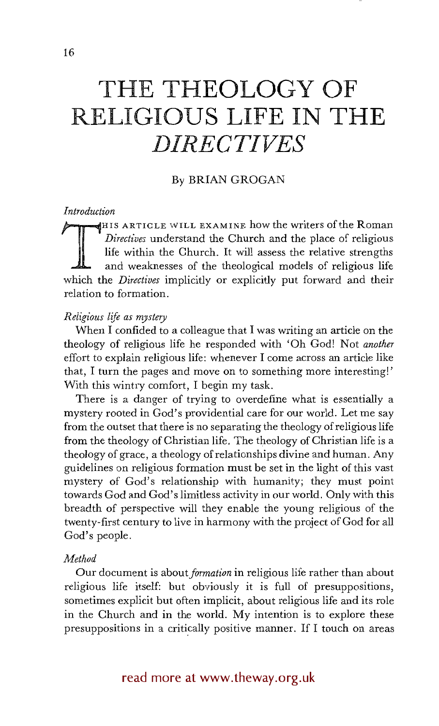# **THE THEOLOGY OF RELIGIOUS LIFE IN THE**  *D IRE C 7"I VES*

# By BRIAN GROGAN

# *Introduction*

HIS ARTICLE WILL EXAMINE how the writers of the Roman Directives understand the Church and the place of religious life within the Church. It will assess the relative strengths and weaknesses of the theological models of re *Directives* understand the Church and the place of religious life within the Church. It will assess the relative strengths and weaknesses of the theological models of religious life which the *Directives* implicitly or explicitly put forward and their relation to formation.

# *Religious life as mystery*

When I confided to a colleague that I was writing an article on the theology of religious life he responded with 'Oh God! Not *another*  effort to explain religious life: whenever I come across an article like that, I turn the pages and move on to something more interesting!' With this wintry comfort, I begin my task.

There is a danger of trying to overdefine what is essentially a mystery rooted in God's providential care for our world. Let me say from the outset that there is no separating the theology of religious life from the theology of Christian life. The theology of Christian life is a theology of grace, a theology of relationships divine and human. Any guidelines on religious formation must be set in the light of this vast mystery of God's relationship with humanity; they must point towards God and God's limitless activity in our world. Only with this breadth of perspective will they enable the young religious of the twenty-first century to live in harmony with the project of God for all God's people.

#### *Method*

Our document is *about formation* in religious life rather than about religious life itself: but obviously it is full of presuppositions, sometimes explicit but often implicit, about religious life and its role in the Church and in the world. My intention is to explore these presuppositions in a critically positive manner. If I touch on areas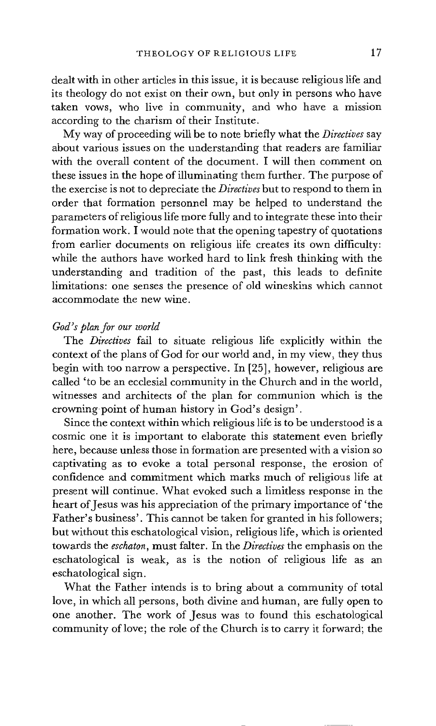dealt with in other articles in this issue, it is because religious life and its theology do not exist on their own, but only in persons who have taken vows, who live in community, and who have a mission according to the charism of their Institute.

My way of proceeding will be to note briefly what the *Directives* say about various issues on the understanding that readers are familiar with the overall content of the document. I will then comment on these issues in the hope of illuminating them further. The purpose of the exercise is not to depreciate the *Directives* but to respond to them in order that formation personnel may be helped to understand the parameters of religious life more fully and to integrate these into their formation work. I would note that the opening tapestry of quotations from earlier documents on religious life creates its own difficulty: while the authors have worked hard to link fresh thinking with the understanding and tradition of the past, this leads to definite limitations: one senses the presence of old wineskins which cannot accommodate the new wine.

# *God's plan for our world*

The *Directives* fail to situate religious life explicitly within the context of the plans of God for our world and, in my view, they thus begin with too narrow a perspective. In [25], however, religious are called 'to be an ecclesial community in the Church and in the world, witnesses and architects of the plan for communion which is the crowning point of human history in God's design'.

Since the context within which religious life is to be understood is a cosmic one it is important to elaborate this statement even briefly here, because unless those in formation are presented with a vision so captivating as to evoke a total personal response, the erosion of confidence and commitment which marks much of religious life at present will continue. What evoked such a limitless response in the heart of Jesus was his appreciation of the primary importance of 'the Father's business'. This cannot be taken for granted in his followers; but without this eschatological vision, religious life, which is oriented towards the *eschaton,* must falter. In the *Directives* the emphasis on the eschatological is weak, as is the notion of religious life as an eschatological sign.

What the Father intends is to bring about a community of total love, in which all persons, both divine and human, are fully open to one another. The work of Jesus was to found this eschatological community of love; the role of the Church is to carry it forward; the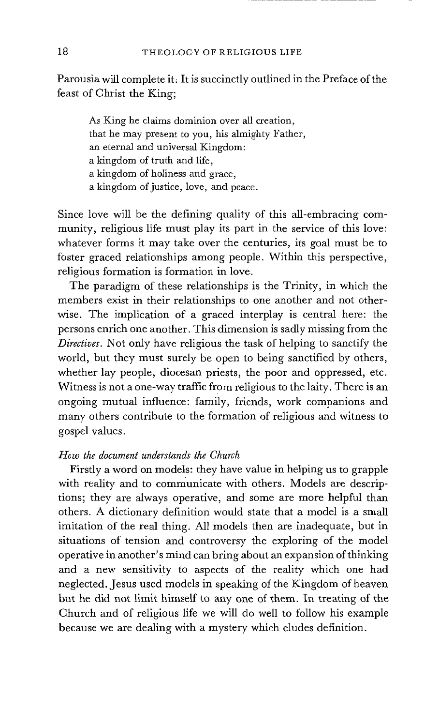Parousia will complete it, It is succinctly outlined in the Preface of the feast of Christ the King;

As King he claims dominion over all creation, that he may present to you, his almighty Father, an eternal and universal Kingdom: a kingdom of truth and life, a kingdom of holiness and grace, a kingdom of justice, love, and peace.

Since love will be the defining quality of this all-embracing community, religious life must play its part in the service of this love: whatever forms it may take over the centuries, its goal must be to foster graced relationships among people. Within this perspective, religious formation is formation in love.

The paradigm of these relationships is the Trinity, in which the members exist in their relationships to one another and not otherwise. The implication of a graced interplay is central here: the persons enrich one another. This dimension is sadly missing from the *Directives.* Not only have religious the task of helping to sanctify the world, but they must surely be open to being sanctified by others, whether lay people, diocesan priests, the poor and oppressed, etc. Witness is not a one-way traffic from religious to the laity. There is an ongoing mutual influence: family, friends, work companions and many others contribute to the formation of religious and witness to gospel values.

# *How the document understands the Church*

Firstly a word on models: they have value in helping us to grapple with reality and to communicate with others. Models are descriptions; they are always operative, and some are more helpful than others. A dictionary definition would state that a model is a small imitation of the real thing. All models then are inadequate, but in situations of tension and controversy the exploring of the model operative in another's mind can bring about an expansion of thinking and a new sensitivity to aspects of the reality which one had neglected. Jesus used models in speaking of the Kingdom of heaven but he did not limit himself to any one of them. In treating of the Church and of religious life we will do well to follow his example because we are dealing with a mystery which eludes definition.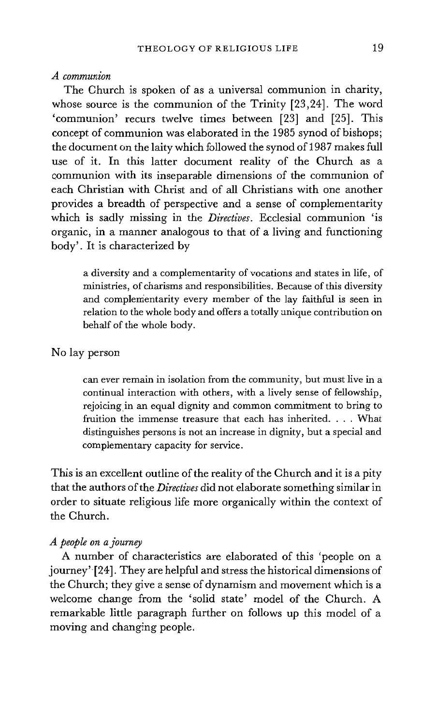#### *A communion*

The Church is spoken of as a universal communion in charity, whose source is the communion of the Trinity [23,24]. The word 'communion' recurs twelve times between [23] and [25]. This concept of communion was elaborated in the 1985 synod of bishops; the document on the laity which followed the synod of 1987 makes full use of it. In this latter document reality of the Church as a communion with its inseparable dimensions of the communion of each Christian with Christ and of all Christians with one another provides a breadth of perspective and a sense of complementarity which is sadly missing in the *Directives.* Ecclesial communion 'is organic, in a manner analogous to that of a living and functioning body'. It is characterized by

a diversity and a complementarity of vocations and states in life, of ministries, of charisms and responsibilities. Because of this diversity and complementarity every member of the lay faithful is seen in relation to the whole body and offers a totally unique contribution on behalf of the whole body.

# No lay person

can ever remain in isolation from the community, but must live in a continual interaction with others, with a lively sense of fellowship, rejoicing in an equal dignity and common commitment to bring to fruition the immense treasure that each has inherited. . . . What distinguishes persons is not an increase in dignity, but a special and complementary capacity for service.

This is an excellent outline of the reality of the Church and it is a pity that the authors of the *Directives* did not elaborate something similar in order to situate religious life more organically within the context of the Church.

### *A people on a journey*

A number of characteristics are elaborated of this 'people on a journey' [24]. They are helpful and stress the historical dimensions of the Church; they give a sense of dynamism and movement which is a welcome change from the 'solid state' model of the Church. A remarkable little paragraph further on follows up this model of a moving and changing people.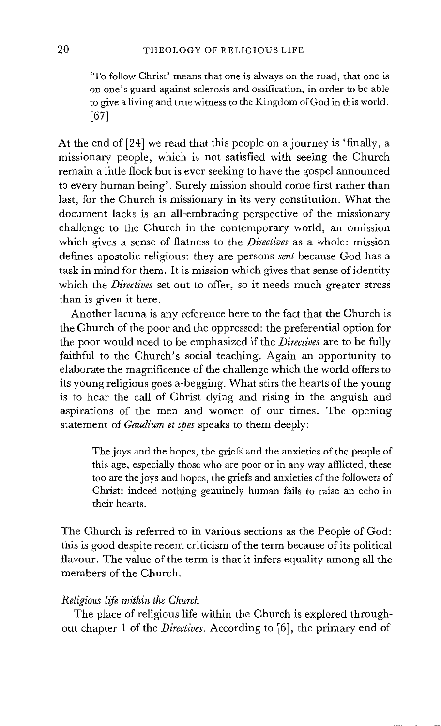'To follow Christ' means that one is always on the road, that one is on one's guard against sclerosis and ossification, in order to be able to give a living and true witness to the Kingdom of God in this world. [67]

At the end of [24] we read that this people on a journey is 'finally, a missionary people, which is not satisfied with seeing the Church remain a little flock but is ever seeking to have the gospel announced to every human being'. Surely mission should come first rather than last, for the Church is missionary in its very constitution. What the document lacks is an all-embracing perspective of the missionary challenge to the Church in the contemporary world, an omission which gives a sense of flatness to the *Directives* as a whole: mission defines apostolic religious: they are persons *sent* because God has a task in mind for them. It is mission which gives that sense of identity which the *Directives* set out to offer, so it needs much greater stress than is given it here.

Another lacuna is any reference here to the fact that the Church is the Church of the poor and the oppressed: the preferential option for the poor would need to be emphasized if the *Directives* are to be fully faithful to the Church's social teaching. Again an opportunity to elaborate the magnificence of the challenge which the world offers to its young religious goes a-begging. What stirs the hearts of the young is to hear the call of Christ dying and rising in the anguish and aspirations of the men and women of our times. The opening statement of *Gaudium et spes* speaks to them deeply:

The joys and the hopes, the griefs' and the anxieties of the people of this age, especially those who are poor or in any way afflicted, these too are the joys and hopes, the griefs and anxieties of the followers of Christ: indeed nothing genuinely human fails to raise an echo in their hearts.

The Church is referred to in various sections as the People of God: this is good despite recent criticism of the term because of its political flavour. The value of the term is that it infers equality among all the members of the Church.

#### *Religious life within the Church*

The place of religious life within the Church is explored throughout chapter 1 of the *Directives.* According to [6], the primary end of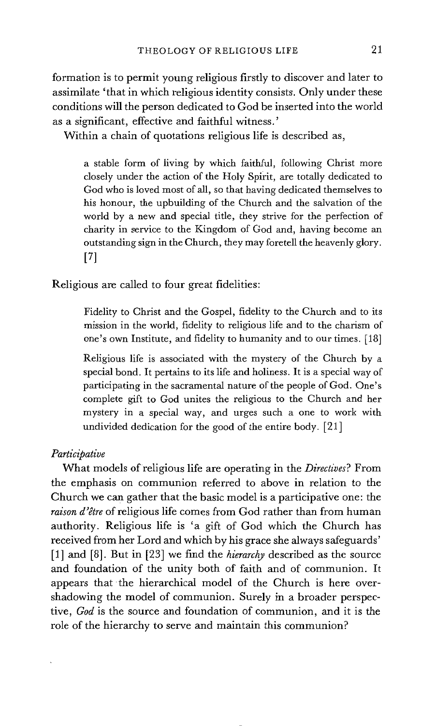formation is to permit young religious firstly to discover and later to assimilate 'that in which religious identity consists. Only under these conditions will the person dedicated to God be inserted into the world as a significant, effective and faithful witness.'

Within a chain of quotations religious life is described as,

a stable form of living by which faithful, following Christ more closely under the action of the Holy spirit, are totally dedicated to God who is loved most of all, so that having dedicated themselves to his honour, the upbuilding of the Church and the salvation of the world by a new and special title, they strive for the perfection of charity in service to the Kingdom of God and, having become an outstanding sign in the Church, they may foretell the heavenly glory. [7]

Religious are called to four great fidelities:

Fidelity to Christ and the Gospel, fidelity to the Church and to its mission in the world, fidelity to religious life and to the charism of one's own Institute, and fidelity to humanity and to our times. [18]

Religious life is associated with the mystery of the Church by a • special bond. It pertains to its life and holiness. It is a special way of participating in the sacramental nature of the people of God. One's complete gift to God unites the religious to the Church and her mystery in a special way, and urges such a one to work with undivided dedication for the good of the entire body. [21]

### *Participative*

What models of religious life are operating in the *Directives?* From the emphasis on communion referred to above in relation to the Church we can gather that the basic model is a participative one: the *raison d'etre* of religious life comes from God rather than from human authority. Religious life is 'a gift of God which the Church has received from her Lord and which by his grace she always safeguards' [1] and [8]. But in [23] we find the *hierarchy* described as the source and foundation of the unity both of faith and of communion. It appears that the hierarchical model of the Church is here overshadowing the model of communion. Surely in a broader perspective, *God* is the source and foundation of communion, and it is the role of the hierarchy to serve and maintain this communion?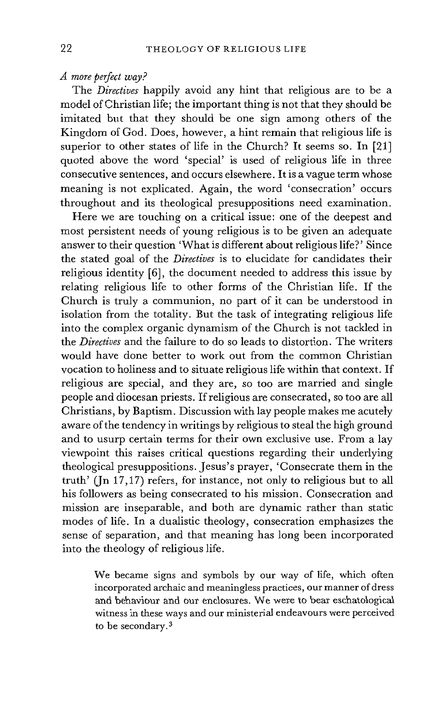# *A more perfect way?*

The *Directives* happily avoid any hint that religious are to be a model of Christian life; the important thing is not that they should be imitated but that they should be one sign among others of the Kingdom of God. Does, however, a hint remain that religious life is superior to other states of life in the Church? It seems so. In [21] quoted above the word 'special' is used of religious life in three consecutive sentences, and occurs elsewhere. It is a vague term whose meaning is not explicated. Again, the word 'consecration' occurs throughout and its theological presuppositions need examination.

Here we are touching on a critical issue: one of the deepest and most persistent needs of young religious is to be given an adequate answer to their question 'What is different about religious life?' Since the stated goal of the *Directives* is to elucidate for candidates their religious identity [6], the document needed to address this issue by relating religious life to other forms of the Christian life. If the Church is truly a communion, no part of it can be understood in isolation from the totality. But the task of integrating religious life into the complex organic dynamism of the Church is not tackled in the *Directives* and the failure to do so leads to distortion. The writers would have done better to work out from the common Christian vocation to holiness and to situate religious life within that context. If religious are special, and they are, so too are married and single people and diocesan priests. If religious are consecrated, so too are all Christians, by Baptism. Discussion with lay people makes me acutely aware of the tendency in writings by religious to steal the high ground and to usurp certain terms for their own exclusive use. From a lay viewpoint this raises critical questions regarding their underlying theological presuppositions. Jesus's prayer, 'Consecrate them in the truth' (Jn 17,17) refers, for instance, not only to religious but to all his followers as being consecrated to his mission. Consecration and mission are inseparable, and both are dynamic rather than static modes of life. In a dualistic theology, consecration emphasizes the sense of separation, and that meaning has long been incorporated into the theology of religious life.

> We became signs and symbols by our way of life, which often incorporated archaic and meaningless practices, our manner of dress and behaviour and our enclosures. We were to bear eschatological witness in these ways and our ministerial endeavours were perceived to be secondary. 3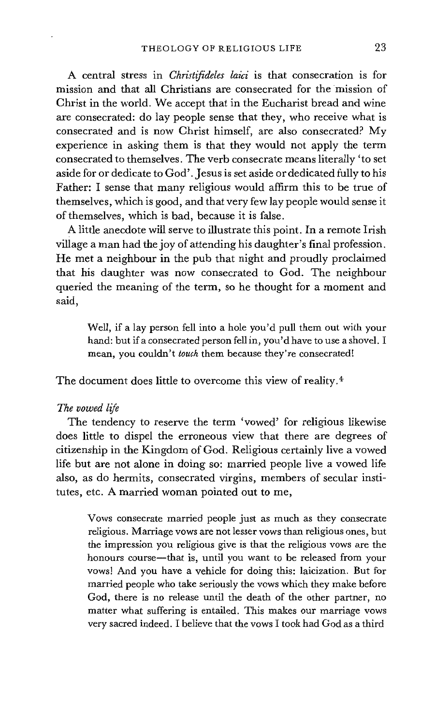A central stress in *Christifideles laici* is that consecration is for mission and that all Christians are consecrated for the mission of Christ in the world. We accept that in the Eucharist bread and wine are consecrated: do lay people sense that they, who receive what is consecrated and is now Christ himself, are also consecrated? My experience in asking them is that they would not apply the term consecrated to themselves. The verb consecrate means literally 'to set aside for or dedicate to God'. Jesus is set aside or dedicated fully to his Father: I sense that many religious would affirm this to be true of themselves, which is good, and that very few lay people would sense it of themselves, which is bad, because it is false.

A little anecdote will serve to illustrate this point. In a remote Irish village a man had the joy of attending his daughter's final profession. He met a neighbour in the pub that night and proudly proclaimed that his daughter was now consecrated to God. The neighbour queried the meaning of the term, so he thought for a moment and said,

Well, if a lay person fell into a hole you'd pull them out with your hand: but if a consecrated person fell in, you'd have to use a shovel. I mean, you couldn't *touch* them because they're consecrated!

The document does little to overcome this view of reality.<sup>4</sup>

#### *The vowed life*

The tendency to reserve the term 'vowed' for religious likewise does little to dispel the erroneous view that there are degrees of citizenship in the Kingdom of God. Religious certainly live a vowed life but are not alone in doing so: married people live a vowed life also, as do hermits, consecrated virgins, members of secular institutes, etc. A married woman pointed out to me,

Vows consecrate married people just as much as they consecrate religious. Marriage vows are not lesser vows than religious ones, but the impression you religious give is that the religious vows are the honours course-that is, until you want to be released from your vows! And you have a vehicle for doing this: laicization. But for married people who take seriously the vows which they make before God, there is no release until the death of the other partner, no matter what suffering is entailed. This makes our marriage vows very sacred indeed. I believe that the vows I took had God as a third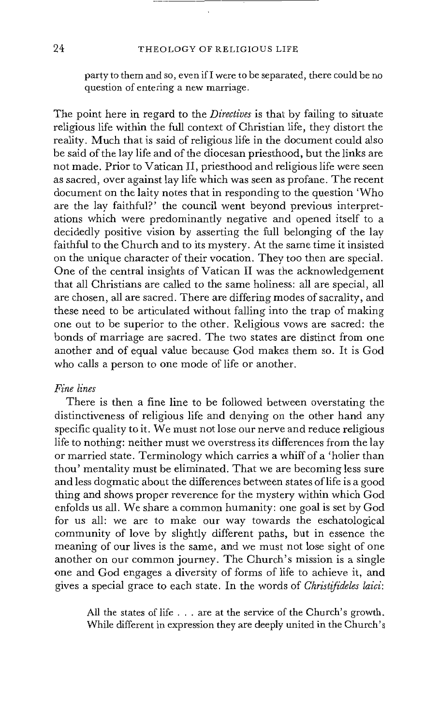party to them and so, even ifI were to be separated, there could be no question of entering a new marriage.

The point here in regard to the *Directives* is that by failing to situate religious life within the full context of Christian life, they distort the reality. Much that is said of religious life in the document could also be said of the lay life and of the diocesan priesthood, but the links are not made. Prior to Vatican II, priesthood and religious life were seen as sacred, over against lay life which was seen as profane. The recent document on the laity notes that in responding to the question 'Who are the lay faithful?<sup>5</sup> the council went beyond previous interpretations which were predominantly negative and opened itself to a decidedly positive vision by asserting the full belonging of the lay faithful to the Church and to its mystery. At the same time it insisted on the unique character of their vocation. They too then are special. One of the central insights of Vatican II was the acknowledgement that all Christians are called to the same holiness: all are special, all are chosen, all are sacred. There are differing modes of sacrality, and these need to be articulated without falling into the trap of making one out to be Superior to the other. Religious vows are sacred: the bonds of marriage are sacred. The two states are distinct from one another and of equal value because God makes them so. It is God who calls a person to one mode of life or another.

#### *Fine lines*

There is then a fine line to be followed between overstating the distinctiveness of religious life and denying on the other hand any specific quality to it. We must not lose our nerve and reduce religious life to nothing: neither must we overstress its differences from the lay or married state. Terminology which carries a whiff of a 'holier than thou' mentality must be eliminated. That we are becoming less sure and less dogmatic about the differences between states of life is a good thing and shows proper reverence for the mystery within which God enfolds us all. We share a common humanity: one goal is set by God for us all: we are to make our way towards the eschatological community of love by slightly different paths, but in essence the meaning of our lives is the same, and we must not lose sight of one another on our common journey. The Church's mission is a single one and God engages a diversity of forms of life to achieve it, and gives a special grace to each state. In the words of *Christifideles laid:* 

> All the states of life . . . are at the service of the Church's growth. While different in expression they are deeply united in the Church's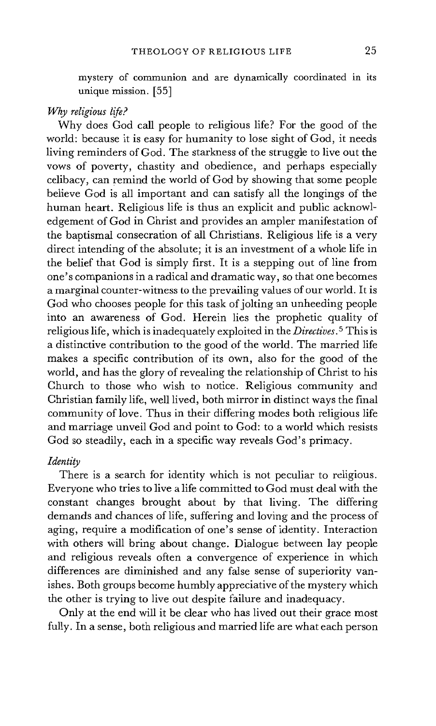mystery of communion and are dynamically coordinated in its unique mission. [55]

# *Why religious life?*

Why does God call people to religious life? For the good of the world: because it is easy for humanity to lose sight of God, it needs living reminders of God. The starkness of the struggle to live out the vows of poverty, chastity and obedience, and perhaps especially celibacy, can remind the world of God by showing that some people believe God is all important and can satisfy all the longings of the human heart. Religious life is thus an explicit and public acknowledgement of God in Christ and provides an ampler manifestation of the baptismal consecration of all Christians. Religious life is a very direct intending of the absolute; it is an investment of a whole life in the belief that God is simply first. It is a stepping out of line from one's companions in a radical and dramatic way, so that one becomes a marginal counter-witness to the prevailing values of our world. It is God who chooses people for this task of jolting an unheeding people into an awareness of God. Herein lies the prophetic quality of religious life, which is inadequately exploited in the *Directives.* 5 This is a distinctive contribution to the good of the world. The married life makes a specific contribution of its own, also for the good of the world, and has the glory of revealing the relationship of Christ to his Church to those who wish to notice. Religious community and Christian family life, well lived, both mirror in distinct ways the final community of love. Thus in their differing modes both religious life and marriage unveil God and point to God: to a world which resists God so steadily, each in a specific way reveals God's primacy.

# *Identity*

There is a search for identity which is not peculiar to religious. Everyone who tries to live a life committed to God must deal with the constant changes brought about by that living. The differing demands and chances of life, suffering and loving and the process of aging, require a modification of one's sense of identity. Interaction with others will bring about change. Dialogue between lay people and religious reveals often a convergence of experience in which differences are diminished and any false sense of superiority vanishes. Both groups become humbly appreciative of the mystery which the other is trying to live out despite failure and inadequacy.

Only at the end will it be clear who has lived out their grace most fully. In a sense, both religious and married life are what each person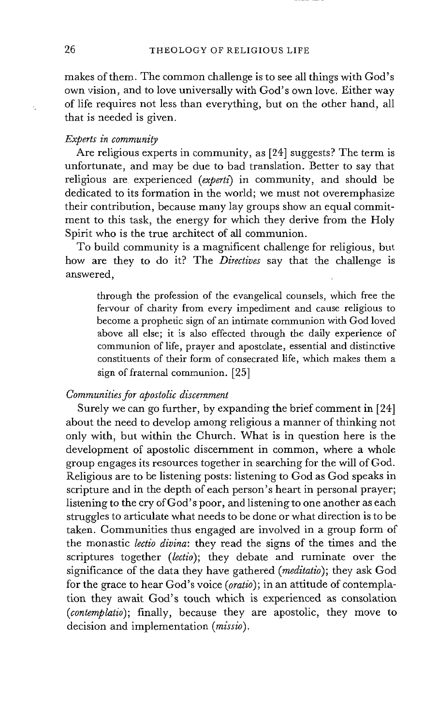makes of them. The common challenge is to see all things with God's own vision, and to love universally with God's own love. Either way of life requires not less than everything, but on the other hand, all that is needed is given.

# *Experts in community*

Are religious experts in community, as [24] suggests? The term is unfortunate, and may be due to bad translation. Better to say that religious are experienced *(experti)* in community, and should be dedicated to its formation in the world; we must not overemphasize their contribution, because many lay groups show an equal commitment to this task, the energy for which they derive from the Holy Spirit who is the true architect of all communion.

To build community is a magnificent challenge for religious, but how are they to do it? The *Directives* say that the challenge is answered,

through the profession of the evangelical counsels, which free the fervour of charity from every impediment and cause religious to become a prophetic sign of an intimate communion with God loved above all else; it is also effected through the daily experience of communion of life, prayer and apostolate, essential and distinctive constituents of their form of consecrated life, which makes them a sign of fraternal communion. [25]

#### *Communities for apostolic discernment*

Surely we can go further, by expanding the brief comment in [24] about the need to develop among religious a manner of thinking not only with, but within the Church. What is in question here is the development of apostolic discernment in common, where a whole group engages its resources together in searching for the will of God. Religious are to be listening posts: listening to God as God speaks in scripture and in the depth of each person's heart in personal prayer; listening to the cry of God's poor, and listening to one another as each struggles to articulate what needs to be done or what direction is to be taken. Communities thus engaged are involved in a group form of the monastic *lectio divina:* they read the signs of the times and the scriptures together *(lectio);* they debate and ruminate over the significance of the data they have gathered *(meditatio);* they ask God for the grace to hear God's voice *(oratio);* in an attitude of contemplation they await God's touch which is experienced as consolation *(contemplatio);* finally, because they are apostolic, they move to decision and implementation *(missio).*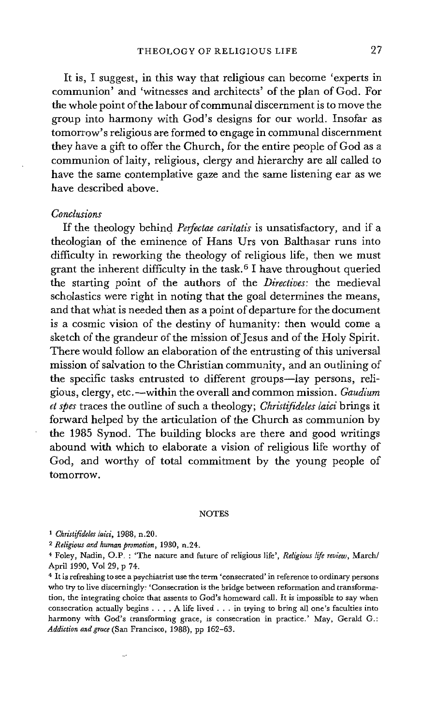It is, I suggest, in this way that religious can become 'experts in communion' and 'witnesses and architects' of the plan of God. For the whole point of the labour of communal discernment is to move the group into harmony with God's designs for our world. Insofar as tomorrow's religious are formed to engage in communal discernment they have a gift to offer the Church, for the entire people of God as a communion of laity, religious, clergy and hierarchy are all called to have the same contemplative gaze and the same listening ear as we have described above.

# *Conclusions*

If the theology behind *Perfectae caritatis* is unsatisfactory, and if a theologian of the eminence of Hans Urs von Balthasar runs into difficulty in reworking the theology of religious life, then we must grant the inherent difficulty in the task. 6 1 have throughout queried the starting point of the authors of the *Directives: the* medieval scholastics were right in noting that the goal determines the means, and that what is needed then as a point of departure for the document is a cosmic vision of the destiny of humanity: then would come a sketch of the grandeur of the mission of Jesus and of the Holy Spirit. There would follow an elaboration of the entrusting of this universal mission of salvation to the Christian community, and an outlining of the specific tasks entrusted to different groups—lay persons, religious, clergy, etc.mwithin the overall and common mission. *Gaudium et spes* traces the outline of such a theology; *Christifideles Iaici* brings it forward helped by the articulation of the Church as communion by the 1985 Synod. The building blocks are there and good writings abound with which to elaborate a vision of religious life worthy of God, and worthy of total commitment by the young people of tomorrow.

#### **NOTES**

*a Christifideles laid,* 1988, n.20.

*2 Religious and human promotion,* 1980, n.24.

4 Foley, Nadin, O.P. : 'The nature and future of religious life', *Religious life review,* March/ April 1990, Vol 29, p 74.

4 It is refreshing to see a psychiatrist use the term 'consecrated' in reference to ordinary persons who try to live discerningly: 'Consecration is the bridge between reformation and transformation, the integrating choice that assents to God's homeward call. It is impossible to say when consecration actually begins .... A llfe lived . . . in trying to bring all one's faculties into harmony with God's transforming grace, is consecration in practice.' May, Gerald G.: *Addiction andgrace* (San Francisco, 1988), pp 162-63.